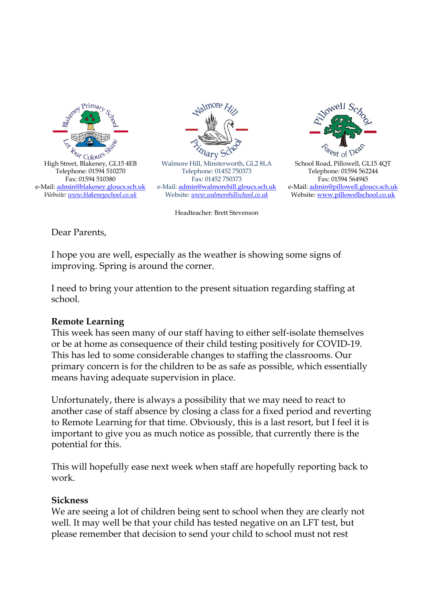



Walmore Hill, Minsterworth, GL2 8LA Telephone: 01452 750373 Fax: 01452 750373 e-Mail: admin@walmorehill.gloucs.sch.uk Website: *www.walmorehillschool.co.uk*

Headteacher: Brett Stevenson



School Road, Pillowell, GL15 4QT Telephone: 01594 562244 Fax: 01594 564945 e-Mail: admin@pillowell.gloucs.sch.uk Website: www.pillowellschool.co.uk

Dear Parents,

I hope you are well, especially as the weather is showing some signs of improving. Spring is around the corner.

I need to bring your attention to the present situation regarding staffing at school.

## **Remote Learning**

This week has seen many of our staff having to either self-isolate themselves or be at home as consequence of their child testing positively for COVID-19. This has led to some considerable changes to staffing the classrooms. Our primary concern is for the children to be as safe as possible, which essentially means having adequate supervision in place.

Unfortunately, there is always a possibility that we may need to react to another case of staff absence by closing a class for a fixed period and reverting to Remote Learning for that time. Obviously, this is a last resort, but I feel it is important to give you as much notice as possible, that currently there is the potential for this.

This will hopefully ease next week when staff are hopefully reporting back to work.

## **Sickness**

We are seeing a lot of children being sent to school when they are clearly not well. It may well be that your child has tested negative on an LFT test, but please remember that decision to send your child to school must not rest